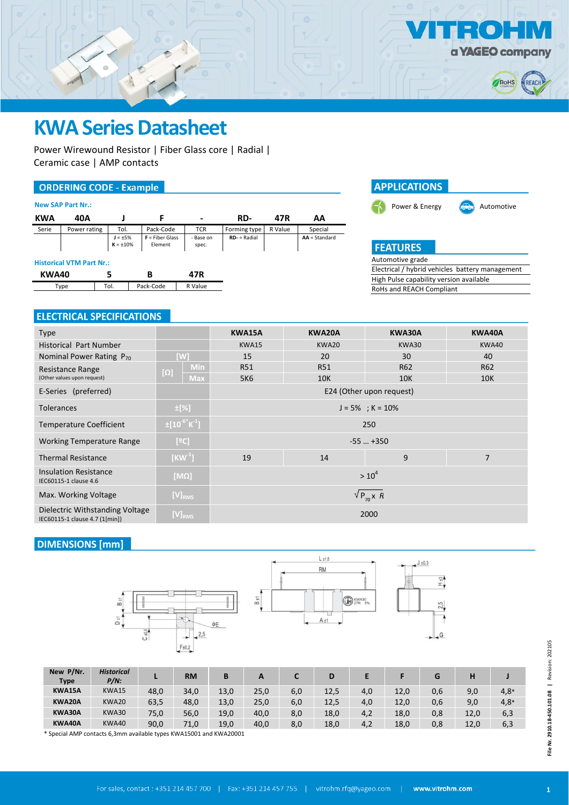

## **KWA Series Datasheet**

Power Wirewound Resistor | Fiber Glass core | Radial | Ceramic case | AMP contacts

#### **ORDERING CODE - Example**

|  | <b>New SAP Part Nr.:</b> |  |
|--|--------------------------|--|
|  |                          |  |

| <b>KWA</b>   | 40A                             |                                 |                              |                    | RD-             | 47R     | AA              |  |
|--------------|---------------------------------|---------------------------------|------------------------------|--------------------|-----------------|---------|-----------------|--|
| Serie        | Power rating                    | Tol.                            | Pack-Code                    | <b>TCR</b>         | Forming type    | R Value | Special         |  |
|              |                                 | $J = \pm 5\%$<br>$K = \pm 10\%$ | $F =$ Fiber Glass<br>Element | - Base on<br>spec. | $RD -$ = Radial |         | $AA = Standard$ |  |
|              | <b>Historical VTM Part Nr.:</b> |                                 |                              |                    |                 |         |                 |  |
| <b>KWA40</b> |                                 | 5                               | в                            | 47R                |                 |         |                 |  |
|              | Type                            | Tol.                            | Pack-Code                    | R Value            |                 |         |                 |  |
|              |                                 |                                 |                              |                    |                 |         |                 |  |



### Automotive grade

Electrical / hybrid vehicles battery management High Pulse capability version available RoHs and REACH Compliant

#### **ELECTRICAL SPECIFICATIONS**

| <b>Type</b>                                                       |                                        | KWA15A                          | KWA20A     | KWA30A                   | KWA40A     |  |
|-------------------------------------------------------------------|----------------------------------------|---------------------------------|------------|--------------------------|------------|--|
| <b>Historical Part Number</b>                                     |                                        | KWA15                           | KWA20      | KWA30                    | KWA40      |  |
| Nominal Power Rating P <sub>70</sub>                              | [W]                                    | 15                              | 20         | 30                       | 40         |  |
| Resistance Range                                                  | <b>Min</b>                             | <b>R51</b>                      | <b>R51</b> | R62                      | <b>R62</b> |  |
| (Other values upon request)                                       | $[\Omega]$<br><b>Max</b>               | 5K6                             | <b>10K</b> | <b>10K</b>               | <b>10K</b> |  |
| E-Series (preferred)                                              |                                        |                                 |            | E24 (Other upon request) |            |  |
| <b>Tolerances</b>                                                 | $\pm$ [%]                              | $J = 5\%$ ; K = 10%             |            |                          |            |  |
| <b>Temperature Coefficient</b>                                    | $\pm [10^{-6}$ $\text{K}^{\text{-}1}]$ | 250                             |            |                          |            |  |
| <b>Working Temperature Range</b>                                  | [°C]                                   | $-55$ $+350$                    |            |                          |            |  |
| <b>Thermal Resistance</b>                                         | $[KW^1]$                               | 9<br>$\overline{7}$<br>14<br>19 |            |                          |            |  |
| <b>Insulation Resistance</b><br>IEC60115-1 clause 4.6             | $[M\Omega]$                            | $> 10^4$                        |            |                          |            |  |
| $[V]_{RMS}$<br>Max. Working Voltage                               |                                        | $\sqrt{P_{70}X}R$               |            |                          |            |  |
| Dielectric Withstanding Voltage<br>IEC60115-1 clause 4.7 (1[min]) | $[V]_{RMS}$                            | 2000                            |            |                          |            |  |

#### **DIMENSIONS** [mm]





| New P/Nr.<br><b>Type</b> | <b>Historical</b><br>$P/N$ : |      | <b>RM</b> | B    | A    |     | D    |     |      |     | н    |        |
|--------------------------|------------------------------|------|-----------|------|------|-----|------|-----|------|-----|------|--------|
| KWA15A                   | KWA15                        | 48,0 | 34,0      | 13,0 | 25,0 | 6,0 | 12,5 | 4,0 | 12,0 | 0,6 | 9,0  | $4,8*$ |
| KWA20A                   | KWA20                        | 63,5 | 48,0      | 13,0 | 25,0 | 6,0 | 12,5 | 4,0 | 12,0 | 0,6 | 9,0  | $4,8*$ |
| KWA30A                   | KWA30                        | 75,0 | 56,0      | 19,0 | 40,0 | 8,0 | 18,0 | 4,2 | 18,0 | 0,8 | 12,0 | 6,3    |
| KWA40A                   | KWA40                        | 90,0 | 71,0      | 19,0 | 40,0 | 8,0 | 18,0 | 4,2 | 18,0 | 0,8 | 12,0 | 6,3    |

\* Special AMP contacts 6,3mm available types KWA15001 and KWA20001